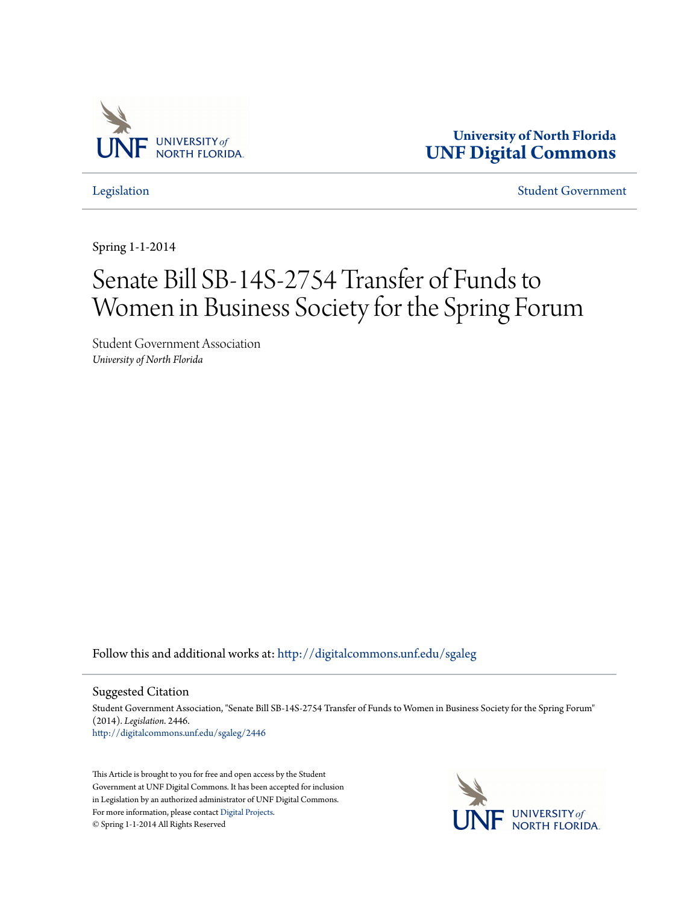

**University of North Florida [UNF Digital Commons](http://digitalcommons.unf.edu?utm_source=digitalcommons.unf.edu%2Fsgaleg%2F2446&utm_medium=PDF&utm_campaign=PDFCoverPages)**

[Legislation](http://digitalcommons.unf.edu/sgaleg?utm_source=digitalcommons.unf.edu%2Fsgaleg%2F2446&utm_medium=PDF&utm_campaign=PDFCoverPages) [Student Government](http://digitalcommons.unf.edu/sga?utm_source=digitalcommons.unf.edu%2Fsgaleg%2F2446&utm_medium=PDF&utm_campaign=PDFCoverPages)

Spring 1-1-2014

## Senate Bill SB-14S-2754 Transfer of Funds to Women in Business Society for the Spring Forum

Student Government Association *University of North Florida*

Follow this and additional works at: [http://digitalcommons.unf.edu/sgaleg](http://digitalcommons.unf.edu/sgaleg?utm_source=digitalcommons.unf.edu%2Fsgaleg%2F2446&utm_medium=PDF&utm_campaign=PDFCoverPages)

Suggested Citation

Student Government Association, "Senate Bill SB-14S-2754 Transfer of Funds to Women in Business Society for the Spring Forum" (2014). *Legislation*. 2446. [http://digitalcommons.unf.edu/sgaleg/2446](http://digitalcommons.unf.edu/sgaleg/2446?utm_source=digitalcommons.unf.edu%2Fsgaleg%2F2446&utm_medium=PDF&utm_campaign=PDFCoverPages)

This Article is brought to you for free and open access by the Student Government at UNF Digital Commons. It has been accepted for inclusion in Legislation by an authorized administrator of UNF Digital Commons. For more information, please contact [Digital Projects](mailto:lib-digital@unf.edu). © Spring 1-1-2014 All Rights Reserved